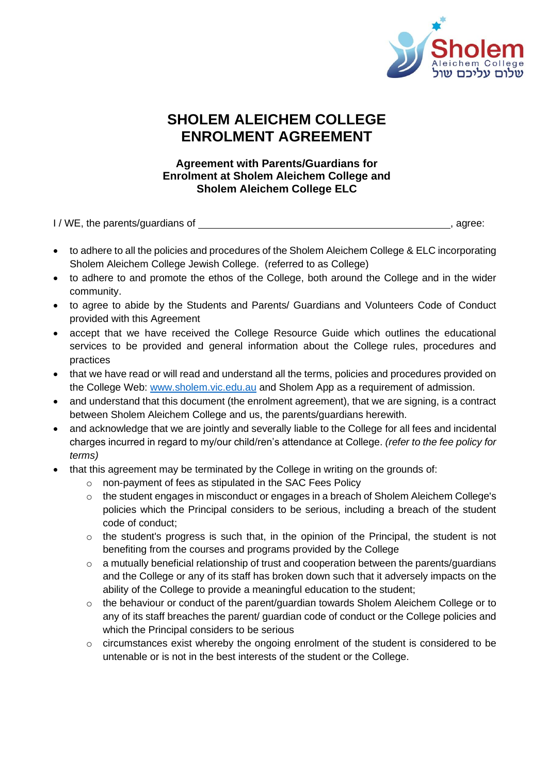

## **SHOLEM ALEICHEM COLLEGE ENROLMENT AGREEMENT**

## **Agreement with Parents/Guardians for Enrolment at Sholem Aleichem College and Sholem Aleichem College ELC**

I/WE, the parents/guardians of  $\Box$ 

- to adhere to all the policies and procedures of the Sholem Aleichem College & ELC incorporating Sholem Aleichem College Jewish College. (referred to as College)
- to adhere to and promote the ethos of the College, both around the College and in the wider community.
- to agree to abide by the Students and Parents/ Guardians and Volunteers Code of Conduct provided with this Agreement
- accept that we have received the College Resource Guide which outlines the educational services to be provided and general information about the College rules, procedures and practices
- that we have read or will read and understand all the terms, policies and procedures provided on the College Web: [www.sholem.vic.edu.au](http://www.sholem.vic.edu.au/) and Sholem App as a requirement of admission.
- and understand that this document (the enrolment agreement), that we are signing, is a contract between Sholem Aleichem College and us, the parents/guardians herewith.
- and acknowledge that we are jointly and severally liable to the College for all fees and incidental charges incurred in regard to my/our child/ren's attendance at College. *(refer to the fee policy for terms)*
- that this agreement may be terminated by the College in writing on the grounds of:
	- o non-payment of fees as stipulated in the SAC Fees Policy
	- o the student engages in misconduct or engages in a breach of Sholem Aleichem College's policies which the Principal considers to be serious, including a breach of the student code of conduct;
	- $\circ$  the student's progress is such that, in the opinion of the Principal, the student is not benefiting from the courses and programs provided by the College
	- o a mutually beneficial relationship of trust and cooperation between the parents/guardians and the College or any of its staff has broken down such that it adversely impacts on the ability of the College to provide a meaningful education to the student;
	- o the behaviour or conduct of the parent/guardian towards Sholem Aleichem College or to any of its staff breaches the parent/ guardian code of conduct or the College policies and which the Principal considers to be serious
	- o circumstances exist whereby the ongoing enrolment of the student is considered to be untenable or is not in the best interests of the student or the College.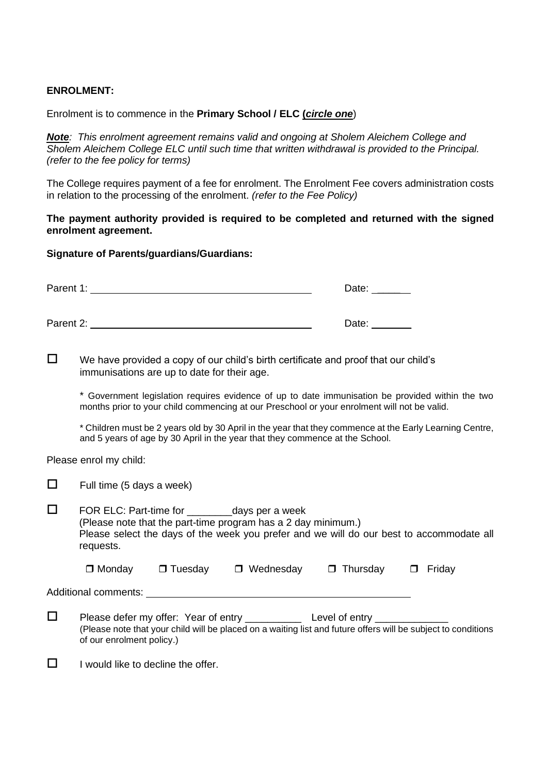## **ENROLMENT:**

Enrolment is to commence in the **Primary School / ELC (***circle one*)

*Note: This enrolment agreement remains valid and ongoing at Sholem Aleichem College and Sholem Aleichem College ELC until such time that written withdrawal is provided to the Principal. (refer to the fee policy for terms)*

The College requires payment of a fee for enrolment. The Enrolment Fee covers administration costs in relation to the processing of the enrolment. *(refer to the Fee Policy)* 

**The payment authority provided is required to be completed and returned with the signed enrolment agreement.**

## **Signature of Parents/guardians/Guardians:**

| Parent 1: | Date: |
|-----------|-------|
| Parent 2: | Date: |

 $\square$  We have provided a copy of our child's birth certificate and proof that our child's immunisations are up to date for their age.

\* Government legislation requires evidence of up to date immunisation be provided within the two months prior to your child commencing at our Preschool or your enrolment will not be valid.

\* Children must be 2 years old by 30 April in the year that they commence at the Early Learning Centre, and 5 years of age by 30 April in the year that they commence at the School.

Please enrol my child:

| Full time (5 days a week)                                                                                                                                                                                                      |  |                                 |                 |                  |  |
|--------------------------------------------------------------------------------------------------------------------------------------------------------------------------------------------------------------------------------|--|---------------------------------|-----------------|------------------|--|
| FOR ELC: Part-time for ___________ days per a week<br>(Please note that the part-time program has a 2 day minimum.)<br>Please select the days of the week you prefer and we will do our best to accommodate all<br>requests.   |  |                                 |                 |                  |  |
| $\Box$ Monday                                                                                                                                                                                                                  |  | $\Box$ Tuesday $\Box$ Wednesday | $\Box$ Thursday | Friday<br>$\Box$ |  |
| Additional comments:                                                                                                                                                                                                           |  |                                 |                 |                  |  |
| Please defer my offer: Year of entry ______________ Level of entry _____________<br>(Please note that your child will be placed on a waiting list and future offers will be subject to conditions<br>of our enrolment policy.) |  |                                 |                 |                  |  |

 $\Box$  I would like to decline the offer.